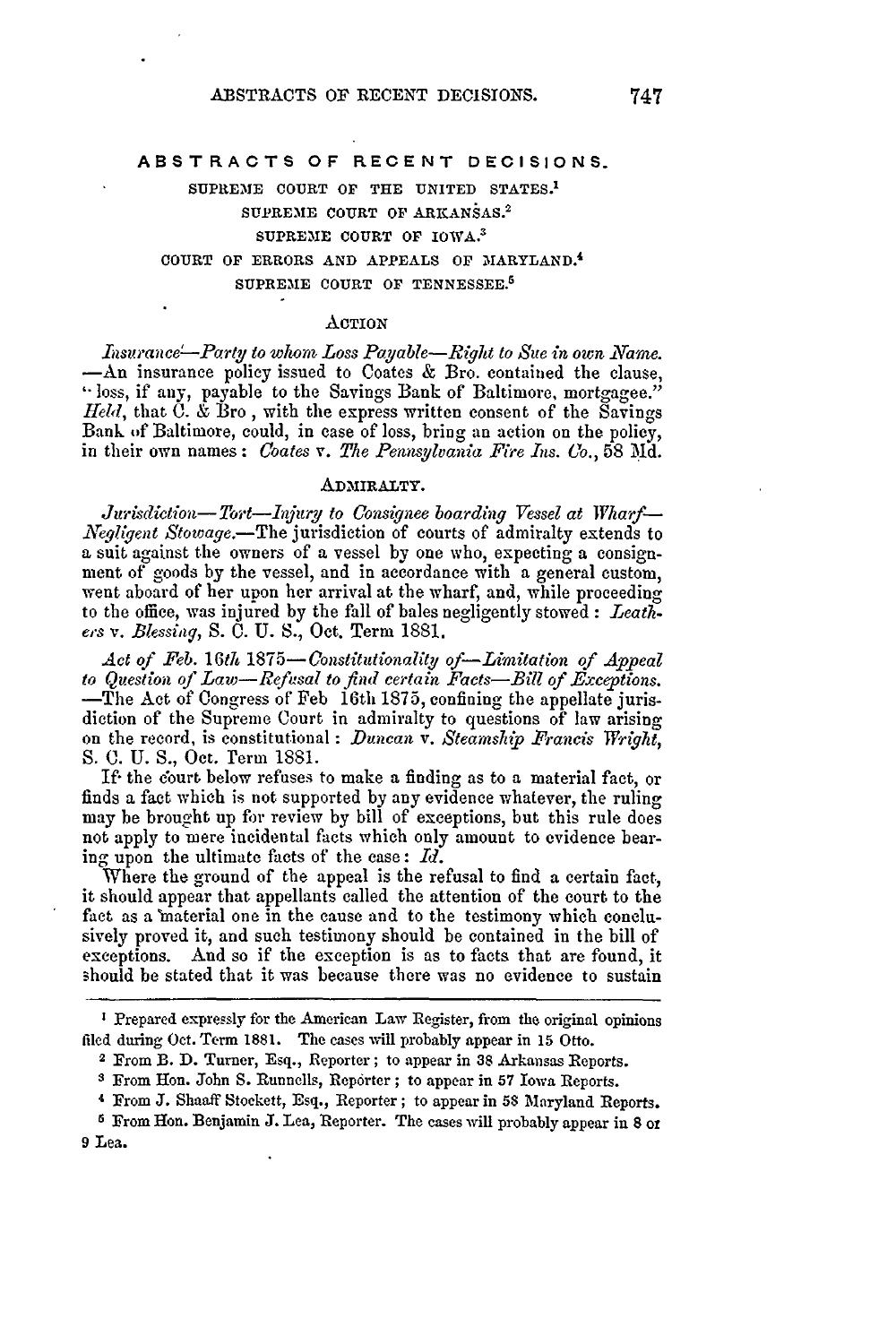#### **ABSTRACTS OF RECENT DECISIONS.**

**SUPREIE COURT OF** THE **UNITED STATES. <sup>1</sup> SUPREME COURT OF ARKANSAS. <sup>2</sup>** SUPREME COURT OF IOWA.<sup>3</sup> **COURT OF ERRORS AND APPEALS OF** MARYLAND. <sup>4</sup> **SUPRE1E COURT OF TENNESSEE.<sup>5</sup>**

#### ACTION

Insurance-Party to whom Loss Payable-Right to Sue in own Name. -An insurance policy issued to Coates & Bro. contained the clause, "loss, if any, payable to the Savings Bank of Baltimore, mortgagee." *Held,* that C. & Bro **,** with the express written consent of the Savings Bank of Baltimore, could, in ease of loss, bring an action on the policy, in their own names: *Coates v. The Pennsylvania Fire Ins. Co.,* 58 **Md.**

## **AD MIRALTY.**

*Jurisdiction-Tort-Injury to Consignee boarding Vessel at Wharf-Negligent Stowage.*—The jurisdiction of courts of admiralty extends to a suit against the owners of a vessel by one who, expecting a consignment of goods by the vessel, and in accordance with a general custom, went aboard of her upon her arrival at the wharf, and, while proceeding to the office, was injured by the fall of bales negligently stowed: *Leathe's v. Blessing,* S. C. U. **S.,** Oct. Term 1881.

*Act of Feb. 16th 1875-Constitutionality of-Limitation of Appeal to Question of Law-Refusal to find certain Facts-Bill of Exceptions.* -The Act of Congress of Feb 16th 1875, confining the appellate jurisdiction of the Supreme Court in admiralty to questions of law arising on the record, is constitutional : *Duncan v. Steamship Francis Wright, S.* C. U. **S.,** Oct. Term 1881.

If- the court below refuses to make a finding as to a material fact, or finds a fact which is not supported by any evidence whatever, the ruling may be brought up for review by bill of exceptions, but this rule does not apply to mere incidental facts which only amount to evidence bearing upon the ultimate facts of the case : *Id.*

Where the ground of the appeal is the refusal to find a certain fact, it should appear that appellants called the attention of the court to the fact as a 'material one in the cause and to the testimony which conclusively proved it, and such testimony should be contained in the bill of exceptions. And so if the exception is as to facts that are found, it should be stated that it was because there was no evidence to sustain

**I** Prepared expressly for the American Law Register, from the original opinions filed during Oct. Term 1881. The cases will probably appear in 15 Otto. 2 From B. **D.** Turner, Esq., Reporter; to appear in **38** Arkansas Reports.

**<sup>3</sup>** From Hon. John **S.** Runnells, Reporter ; to appear in **57** Iowa Reports.

<sup>4</sup> From **J.** Shaaff Stoekett, Esq., Reporter; to appear in **58** Maryland Reports.

**<sup>6</sup>** From Hon. Benjamin J. Lea, Reporter. The cases will probably appear in **8** oz **9** Lea.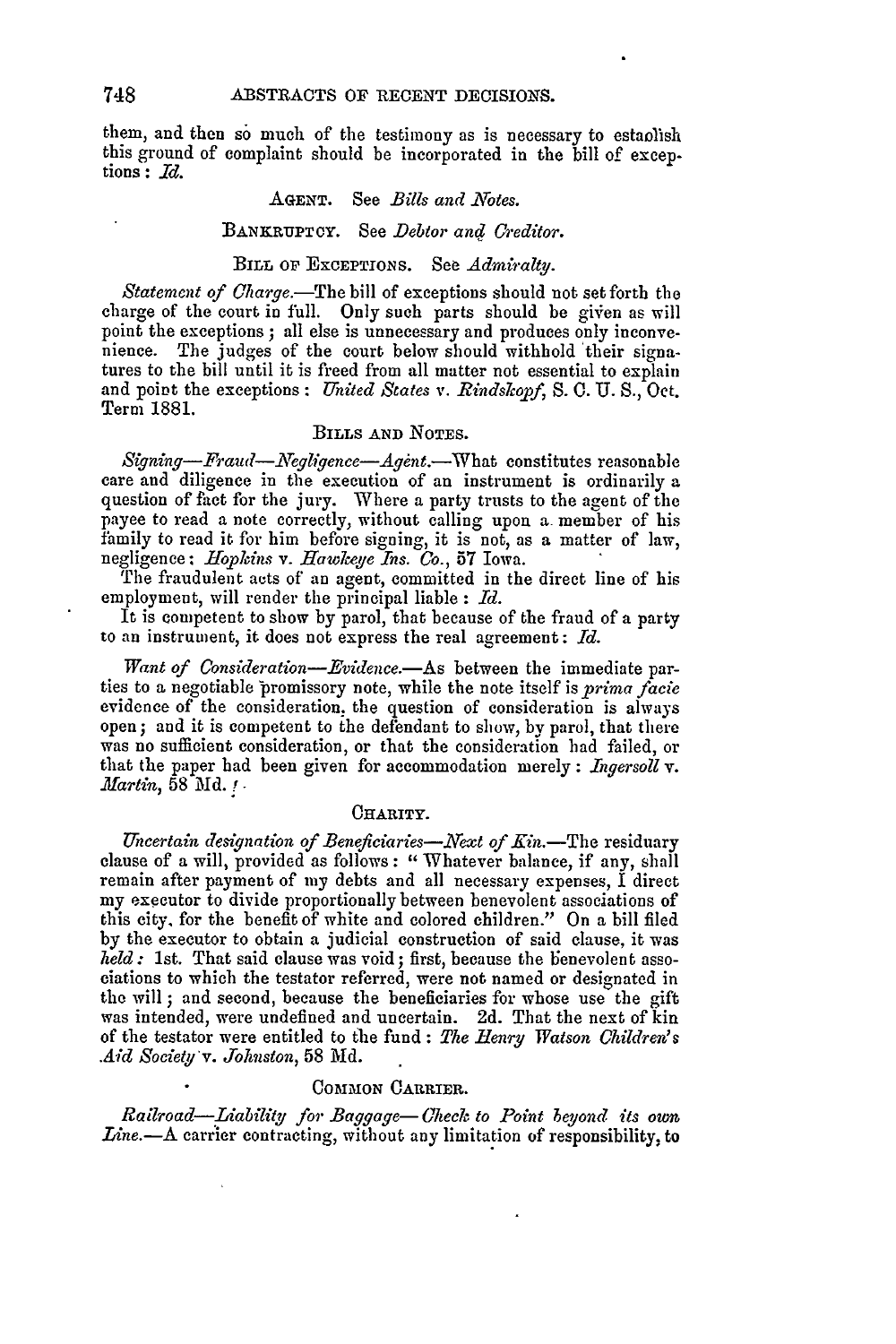them, and then so much of the testimony as is necessary to estaolish this ground of complaint should be incorporated in the bill of exceptions : *Id.*

### AGENT. See *Bills and Notes.*

#### BANKRUPTCY. See *Debtor anq Creditor.*

## BILL **OP** ExCEPTIONS. See *Admiralty.*

*Statement of Charge.*-The bill of exceptions should not set forth the charge of the court in full. Only such parts should be given as will point the exceptions ; all else is unnecessary and produces only inconvenience. The judges of the court below should withhold their signatures to the bill until it is freed from all matter not essential to explain and point the exceptions: *United States v. Rindskopf, S.* **0. U.** S., Oct. Term 1881.

## BILLS **AND NOTES.**

*Signing-Fraud-Negligence-Agent.*-What constitutes reasonable care and diligence in the execution of an instrument is ordinarily a question of fact for the jury. Where a party trusts to the agent of the payee to read a note correctly, without calling upon a member of his family to read it for him before signing, it is not, as a matter of law, negligence : *Hopkins v. Hawkeye Ins.* Co., 57 Iowa.

The fraudulent acts of an agent, committed in the direct line of his employment, will render the principal liable : *Id.*

It is competent to show by parol, that because of the fraud of a party to an instrument, it does not express the real agreement: *Id.*

Want of Consideration-Evidence.- As between the immediate parties to a negotiable promissory note, while the note itself is *prima facie* evidence of the consideration, the question of consideration is always open; and it is competent to the defendant to show, by parol, that there was no sufficient consideration, or that the consideration had failed, or that the paper had been given for accommodation merely: *Ingersoll v. .Martin,* 58 Md. **!-**

### **CHARITY.**

*Uncertain designation of Beneficiaries-Next of Kin.-The* residuary clause of a will, provided as follows: " Whatever balance, if any, shall remain after payment of my debts and all necessary expenses, I direct my executor to divide proportionally between benevolent associations of this city, for the benefit of white and colored children." On a bill filed by the executor to obtain a judicial construction of said clause, it was *held* : 1st. That said clause was void; first, because the benevolent associations to which the testator referred, were not named or designated in the will ; and second, because the beneficiaries for whose use the gift was intended, were undefined and uncertain. 2d. That the next of kin of the testator were entitled to the fund : The Henry Watson Children's *Aid Society'v. Johnston,* 58 Md.

## COMMON **CARRIER.**

*Railroad-Liability for Baggage- Check to Point beyond its own Line.*--A carrier contracting, without any limitation of responsibility, to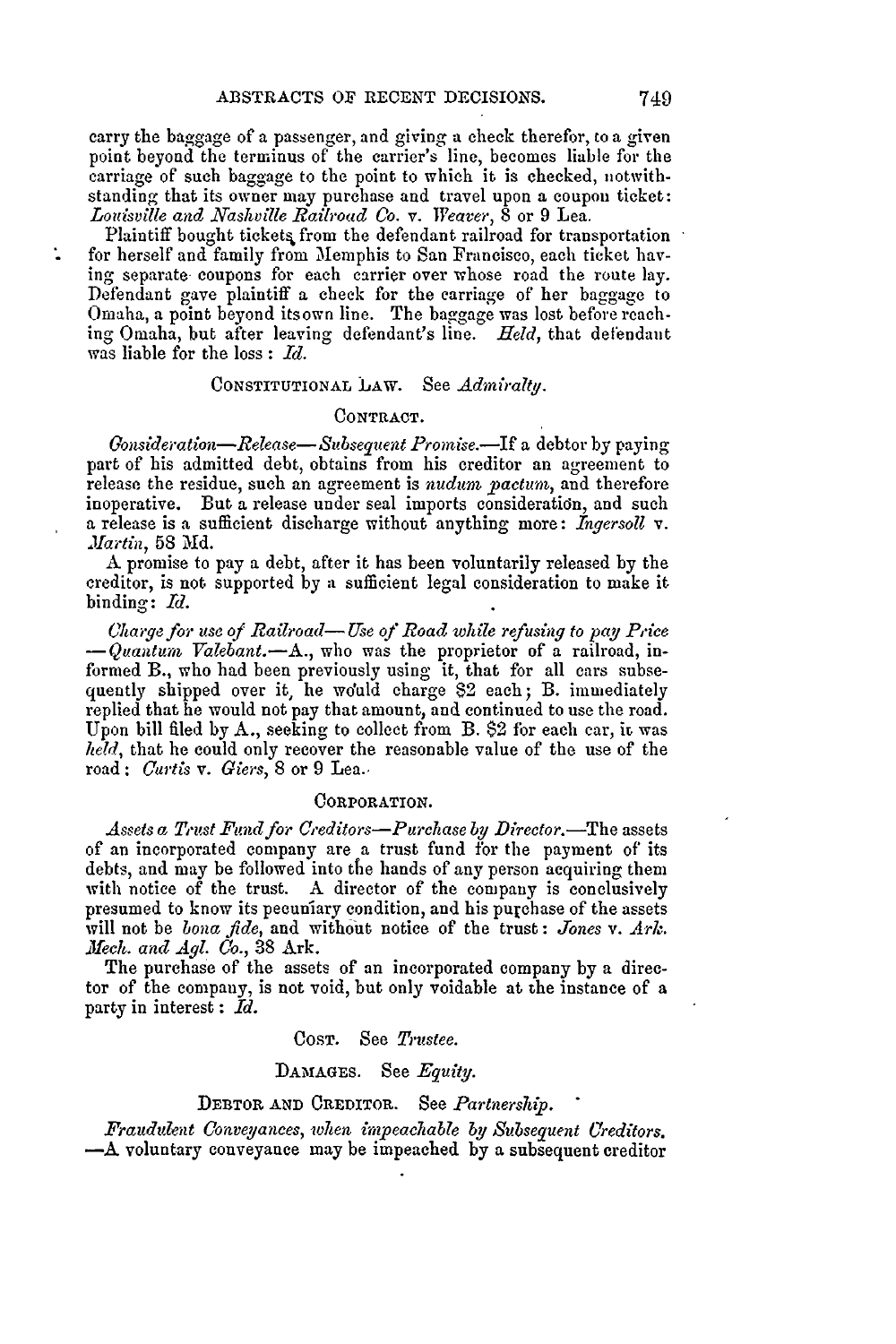carry the baggage of a passenger, and giving a check therefor, to a given point beyond the terminus of the carrier's line, becomes liable for the carriage of such baggage to the point to which it is checked, notwithstanding that its owner may purchase and travel upon a coupon ticket: *Louisville and Nashville Railroad Co. v. Weaver,* 8 or 9 Lea.

Plaintiff bought tickets from the defendant railroad for transportation for herself and family from Memphis to San Francisco, each ticket having separate- coupons for each carrier over whose road the route lay. Defendant gave plaintiff a check for the carriage of her baggage to Omaha, a point beyond its own line. The baggage was lost before reaching Omaha, but after leaving defendant's line. *Held,* that defendant was liable for the loss : *Id.*

# CONSTITUTIONAL LAW. See *Admiralty.*

#### CONTRACT.

*Gonsideration-Release- Subsequent Promise.-If* a debtor by paying part of his admitted debt, obtains from his creditor an agreement to release the residue, such an agreement is *nudum. pactum,* and therefore inoperative. But a release under seal imports consideration, and such a release is a sufficient discharge without anything more: *Ingersoll v. Martin,* 58 Md.

**A** promise to pay a debt, after it has been voluntarily released by the creditor, is not supported by a sufficient legal consideration to make it binding: *Id.*

Charge *for use of Railroad-* Use *of Road while refusing to pay Pice -Quatura Valebant.-A.,* who was the proprietor of a railroad, informed B., who **had** been previously using it, that for all cars subsequently shipped over it, he would charge \$2 each; B. immediately replied that he would not pay that amount, and continued to use the road. Upon bill filed by **A.,** seeking to collect from B. \$2 for each car, ir was *held,* that he could only recover the reasonable value of the use of the road: *Curtis v. Giers,* 8 or 9 Lea..

#### CORPORATION.

*Assets a Trust Fund for Creditors-Purchase by Director.-The* assets of an incorporated company are a trust fund for the payment of its debts, and may be followed into the hands of any person acquiring them with notice of the trust. **A** director of the company is conclusively presumed to know its pecuniary condition, and his purchase of the assets will not be *bona fide,* and without notice of the trust : *Jones v. Ark. Mech. and Agl. Co.,* **38** Ark.

The purchase of the assets of an incorporated company by a director of the company, is not void, but only voidable at the instance of a party in interest : **Id.**

COST. See *Trustee.*

### DAMAGES. See *Equity.*

## DEBTOR AND CREDITOR. See *Partnership.*

*Fraudulent Conveyances, when imP eachable by Subsequent Creditors.* **-A** voluntary conveyance may be impeached by a subsequent creditor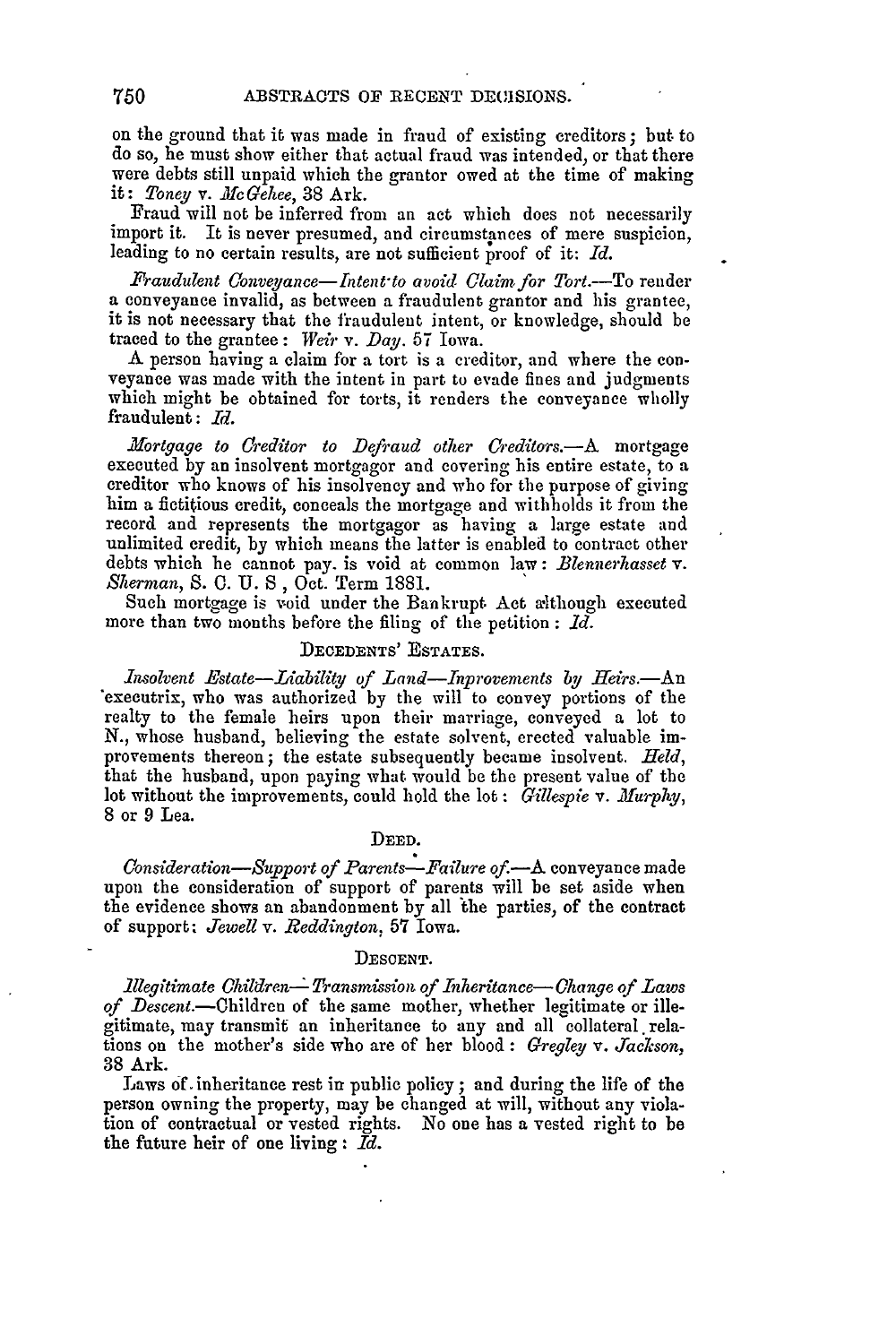on the ground that it was made in fraud of existing creditors; but. to do so, he must show either that actual fraud was intended, or that there were debts still unpaid which the grantor owed at the time of making it: *Toney v. McGehee,* 38 Ark.

Fraud will not be inferred from an act which does not necessarily import it. It is never presumed, and circumstances of mere suspicion, leading to no certain results, are not sufficient proof of it: *Id.*

*Fraudulent Conveyance-Intent to avoid Claim for Tort.*-To render a conveyance invalid, as between a fraudulent grantor and his grantee, it is not necessary that the fraudulent intent, or knowledge, should be traced to the grantee: *Weir v. Day.* 57 Iowa.

**<sup>A</sup>**person having a claim for a tort is a creditor, and where the con- veyance was made with the intent in part to evade fines and judgments which might be obtained for torts, it renders the conveyance wholly fraudulent: *d.*

*.Mortgage to Creditor to Defraud other £'edtors.-A* mortgage executed by an insolvent mortgagor and covering his entire estate, to a creditor who knows of his insolvency and who for the purpose of giving him a fictitious credit, conceals the mortgage and withholds it from the record and represents the mortgagor as having a large estate and unlimited credit, by which means the latter is enabled to contract other debts which he cannot pay. is void at common law: *Blennerhasset v. Sherman,* S. **0.** U. *S,* Oct. Term 1881.

Such mortgage is void under the Bankrupt Act a'ithough executed more than two months before the filing of the petition : *Id.*

## DECEDENTS' **ESTATES.**

*Insolvent Estate-Liability of Land-nprovements by Heirs.-An* executrix, who was authorized by the will to convey portions of the realty to the female heirs upon their marriage, conveyed a lot to N., whose husband, believing the estate solvent, erected valuable improvements thereon; the estate subsequently became insolvent. *Held,* that the husband, upon paying what would be the present value of the lot without the improvements, could hold the lot: *Gillespie* v. *Murphy*, **8** or 9 Lea.

## DEED.

*Consideration-Suport of Parents-Failure of.-A* conveyance made upon the consideration of support of parents will be set aside when the evidence shows an abandonment by all 'the parties, of the contract of support: *Jewell v. Reddington,* 57 Iowa.

#### DESCENT.

*illegitimate Children-- Transmission of Inheritance- Change of Laws of Descent.-Ohildren* of the same mother, whether legitimate or illegitimate, may transmit an inheritance to any and all collateral relations on the mother's side who are of her blood : *Gregley v. Jackson,* 38 Ark.

Laws **of.** inheritance rest in public policy; and during the life of the person owning the property, may be changed at will, without any violation of contractual or vested rights. No one has a vested right to be the future heir of one living : *Id.*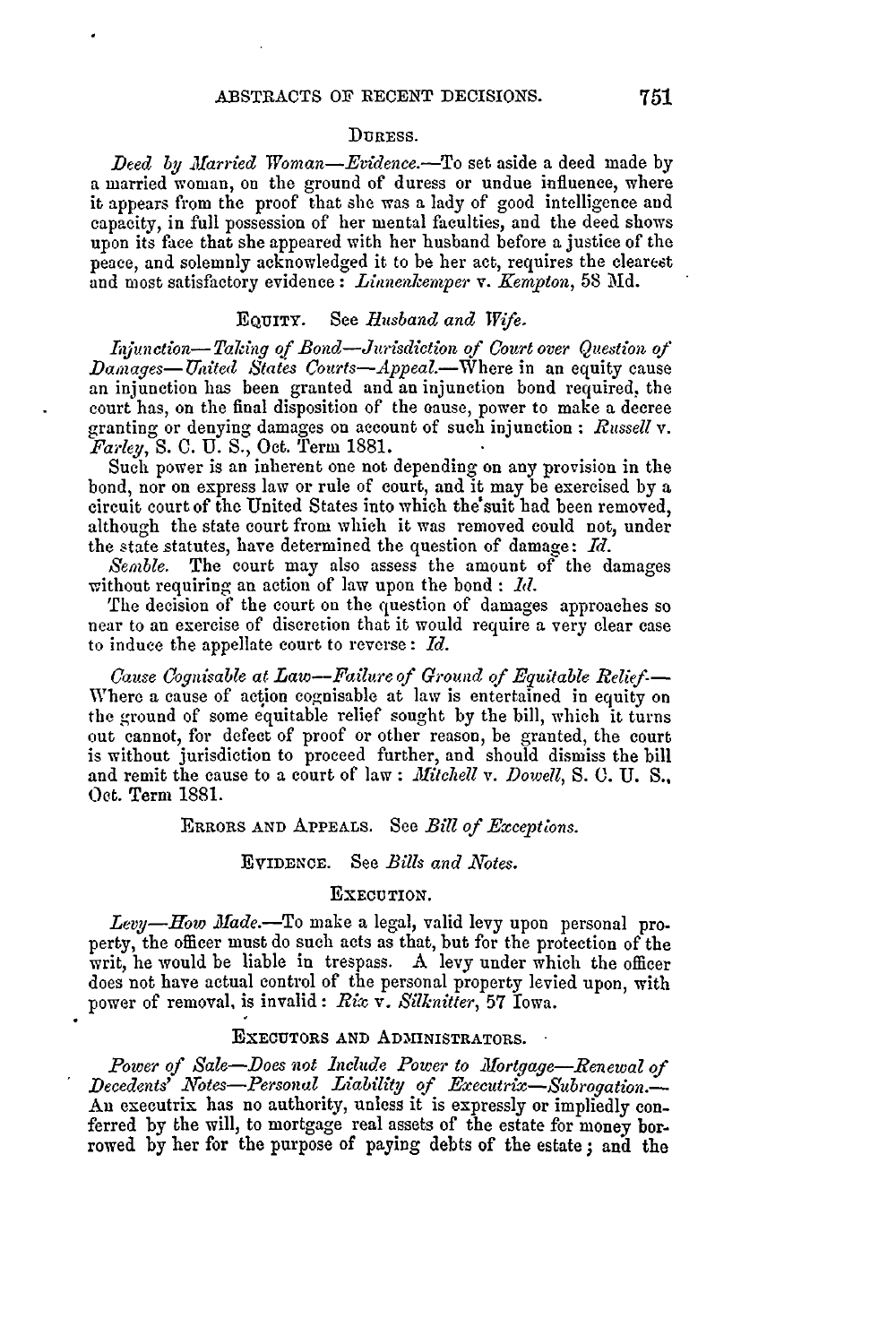## **DURESS.**

*Deed by Married Woman-Evidence.*-To set aside a deed made by a married woman, on the ground of duress or undue influence, where it appears from the proof that she was a lady of good intelligence and capacity, in full possession of her mental faculties, and the deed shows upon its face that she appeared with her husband before a justice of the peace, and solemnly acknowledged it to be her act, requires the clearest and most satisfactory evidence: *Littnenkerper v. Kempton,* **58 Md.**

# EQUITY. See *Husband and Wife.*

Injunction-Taking of Bond-Jurisdiction of Court over Question of *Damages-Unted States Courts-Appeal.-Where* in an equity cause an injunction has been granted and an injunction bond required, the court has, on the final disposition of the oause, power to make a decree granting or denying damages on account of such injunction : *Russell v. Farley,* S. **C.** U. S., Oct. Term 1881.

Such power is an inherent one not depending on any provision in the bond, nor on express law or rule of court, and it may be exercised by a circuit court of the United States into which the'suit had been removed, although the state court from which it was removed could not, under the state statutes, have determined the question of damage: *Id.*

*Semble.* The court may also assess the amount of the damages without requiring an action of law upon the bond : *1d*.

The decision of the court on the question of damages approaches so near to an exercise of discretion that it would require a very clear case to induce the appellate court to reverse : *Id.*

*Cause Cognisable at Law-Failure of Ground of Equitable Relief-*Where a cause of action cognisable at law is entertained in equity on the ground of some equitable relief sought by the bill, which it turns out cannot, for defect of proof or other reason, be granted, the court is without jurisdiction to proceed further, and should dismiss the bill and remit the cause to a court of law : *Mitchell v. Dowell*, S. C. U. S., Oct. Term 1881.

#### ERRORS AND APPEALS. See *Bill of Exceptions.*

#### EVIDENCE. See *Bills and Notes.*

#### EXECUTION.

Levy-How Made.-To make a legal, valid levy upon personal property, the officer must do such acts as that, but for the protection of the writ, he would be liable in trespass. A levy under which the officer does not have actual control of the personal property levied upon, with power of removal, is invalid: *Rix* v. *Silknitter,* **57** Iowa.

#### **EXECUTORS AND ADMINISTRATORS.**

*Power of Sale-Does not Include Power to Mortgage-Renewal of*  $\emph{Decedents}$ <sup>Y</sup> Notes-Personal Liability of Executrix-Subrogation. An executrix has no authority, unless it is expressly or impliedly conferred by the will, to mortgage real assets of the estate for money borrowed by her for the purpose of paying debts of the estate **;** and the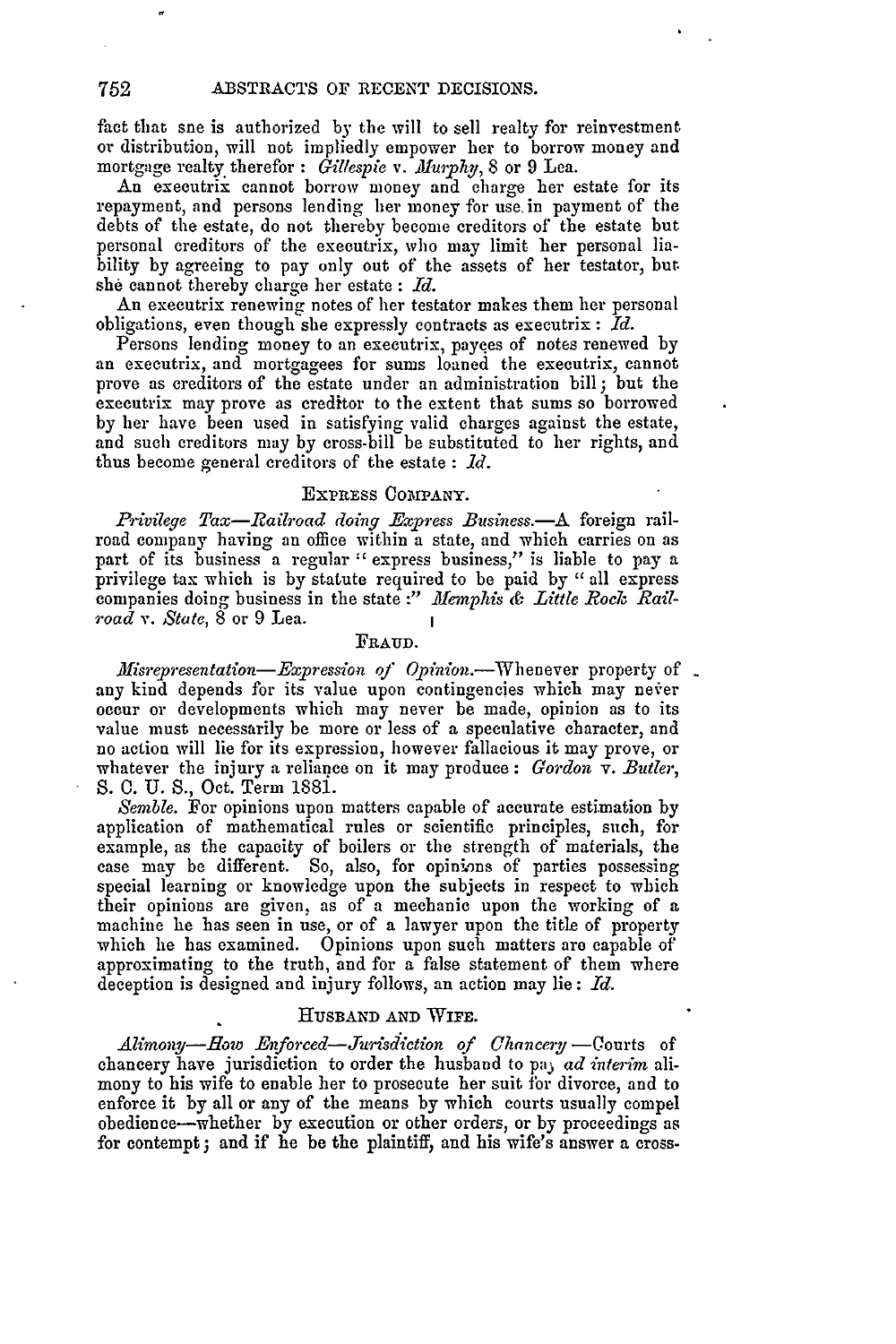fact that sne is authorized by the will to sell realty for reinvestment or distribution, will not impliedly empower her to borrow money and mortgage realty therefor : Gillespie v. Murphy, 8 or 9 Lea.

An executrix cannot borrow money and charge her estate for its repayment, and persons lending her money for use. in payment of the debts of the estate, do not thereby become creditors of the estate but personal creditors of the executrix, who may limit her personal liability by agreeing to pay only out of the assets of her testator, but. she cannot thereby charge her estate : *Id.*

An executrix renewing notes of her testator makes them her personal obligations, even though she expressly contracts as executrix : *Id.*

Persons lending money to an executrix, payces of notes renewed by an executrix, and mortgagees for sums loaned the executrix, cannot prove as creditors of the estate under an administration bill **;** but the executrix may prove as creditor to the extent that sums so borrowed by her have been used in satisfying valid charges against the estate, and such creditors may by cross-bill be substituted to her rights, and thus become general creditors of the estate : *Id.*

### EXPRESS OOMPANY.

*Privilege Tax-Railroad doing Express Business.-A* foreign railroad company having an office within a state, and which carries on as part of its business a regular **"** express business," is liable to pay a privilege tax which is by statute required to be paid by "all express companies doing business in the state :" Memphis & Little Rock Rail*road v. State,* 8 or 9 Lea.

#### FRAUD.

*Misrepresentation-Expression of Opinion.*-Whenever property of any kind depends for its value upon contingencies which may never occur or developments which may never be made, opinion as to its value must necessarily be more or less of a speculative character, and no action will lie for its expression, however fallacious it may prove, or whatever the injury a reliance on it may produce : *Gordon v. Butler,* S. 0. U. S., Oct. Term 1881.

*Semble.* For opinions upon matters capable of accurate estimation by application of mathematical rules or scientific principles, such, for example, as the capacity of boilers or the strength of materials, the case may be different. So, also, for opinions of parties possessing special learning or knowledge upon the subjects in respect to which their opinions are given, as of a mechanic upon the working of a machine he has seen in use, or of a lawyer upon the title of property which he has examined. Opinions upon such matters are capable of approximating to the truth, and for a false statement of them where deception is designed and injury follows, an action may lie: *Id.*

#### **HUSBAND** AND WIFE.

*Alimony-Eow Enforced-Jurisdiction of Chancery-Courts* of chancery have jurisdiction to order the husband to pa) *ad interim* alimony to his wife to enable her to prosecute her suit for divorce, and to enforce it by all or any of the means by which courts usually compel obedience-whether by execution or other orders, or by proceedings as for contempt; and if he be the plaintiff, and his wife's answer a cross-

752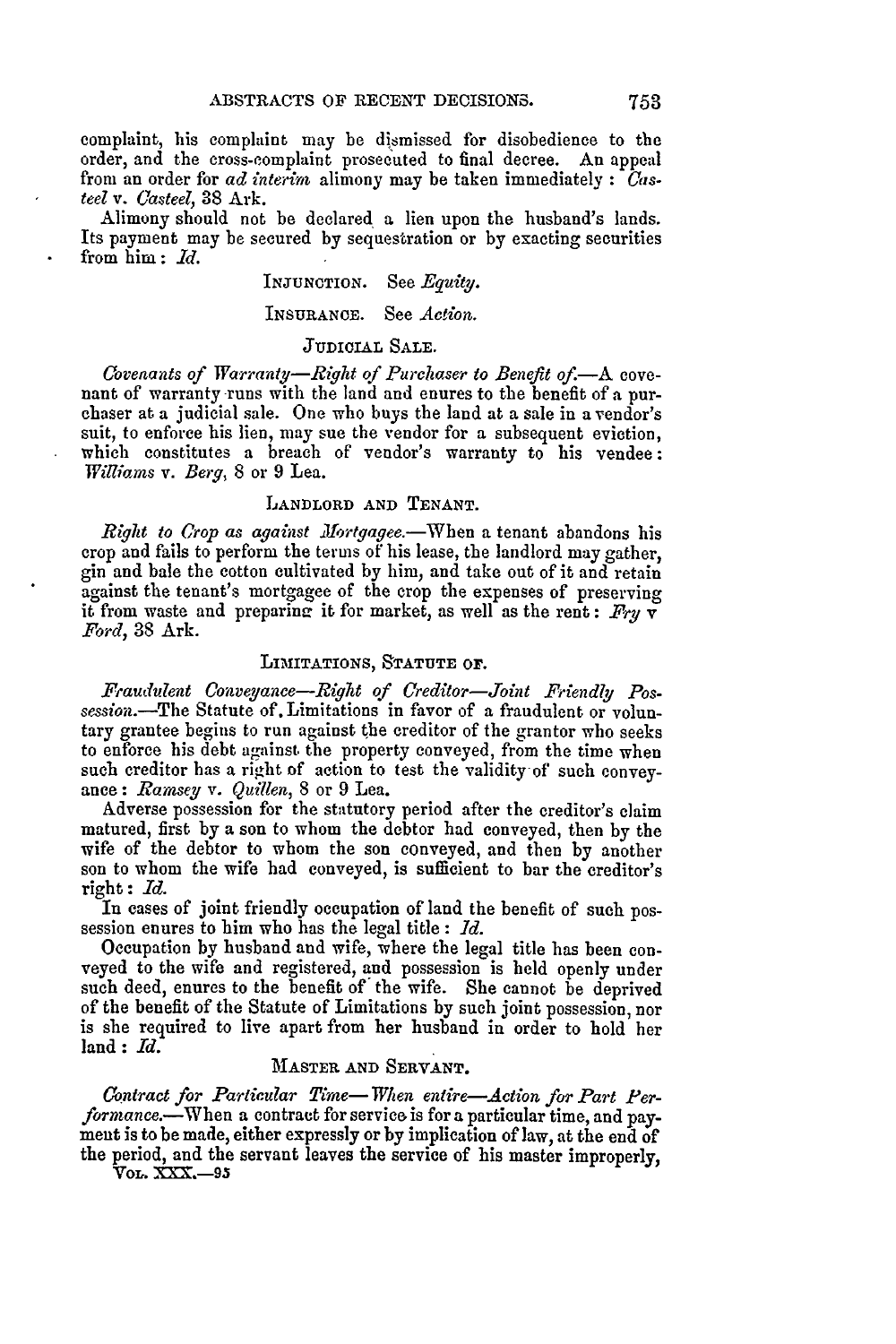complaint, his complaint may be dismissed for disobedience to the order, and the cross-complaint prosecuted to final decree. An appeal from an order for *ad interim* alimony may be taken immediately **:** *Cas*teel *v. Casteel,* 38 Ark.

Alimony should not be declared a lien upon the husband's lands. Its payment may be secured by sequestration or by exacting securities from him **:** *Id.*

# INJUNCTION. See *Egiuity.*

### INSURANCE. See *Action.*

## **JUDICIAL SALE.**

*Covenants of Warranty-Right of Purchaser to Benefit of*.—A cove-<br>nant of warranty runs with the land and enures to the benefit of a purchaser at a judicial sale. One who buys the land at a sale in a vendor's suit, to enforce his lien, may sue the vendor for a subsequent eviction, which constitutes a breach of vendor's warranty to his vendee: *Williars v. Berg,* 8 or 9 Lea.

### LANDLORD **AND TENANT.**

*Right to Crop as against Afortgagee.-Wben* a tenant abandons his crop and fails to perform the terms of his lease, the landlord may gather, gin and bale the cotton cultivated by him, and take out of it and retain against the tenant's mortgagee of the crop the expenses of preserving it from waste and preparine it for market, as well as the rent : *Fry* v *Ford,* 38 Ark.

## LIMITATIONS, **STATUTE** or.

*Fraudulent Conveyance-Right of Creditor-Joint Friendly Possession.-The* Statute of. Limitations in favor of a fraudulent or voluntary grantee begins to run against the creditor of the grantor who seeks to enforce his debt against the property conveyed, from the time when such creditor has a right of action to test the validity of such conveyance: *Ramsey v. Quillen,* **8** or 9 Lea.

Adverse possession for the statutory period after the creditor's claim matured, first by a son to whom the debtor had conveyed, then by the wife of the debtor to whom the son conveyed, and then by another son to whom the wife had conveyed, is sufficient to bar the creditor's right : *Id.*

In cases of joint friendly occupation of land the benefit of such possession enures to him who has the legal title : *Id.*

Occupation by husband and wife, where the legal title has been conveyed to the wife and registered, and possession is held openly under such deed, enures to the benefit of' the wife. She cannot be deprived of the benefit of the Statute of Limitations by such joint possession, nor is she required to live apart from her husband in order to hold her land : *Id.*

## MASTER AND SERVANT.

*Contract for Particular Time- Wihen entire-Action for Part Performance.-When* a contract for service is for a particular time, and payment is to be made, either expressly or by implication of law, at the end of the period, and the servant leaves the service of his master improperly,

*Vor,.* X **.- 95**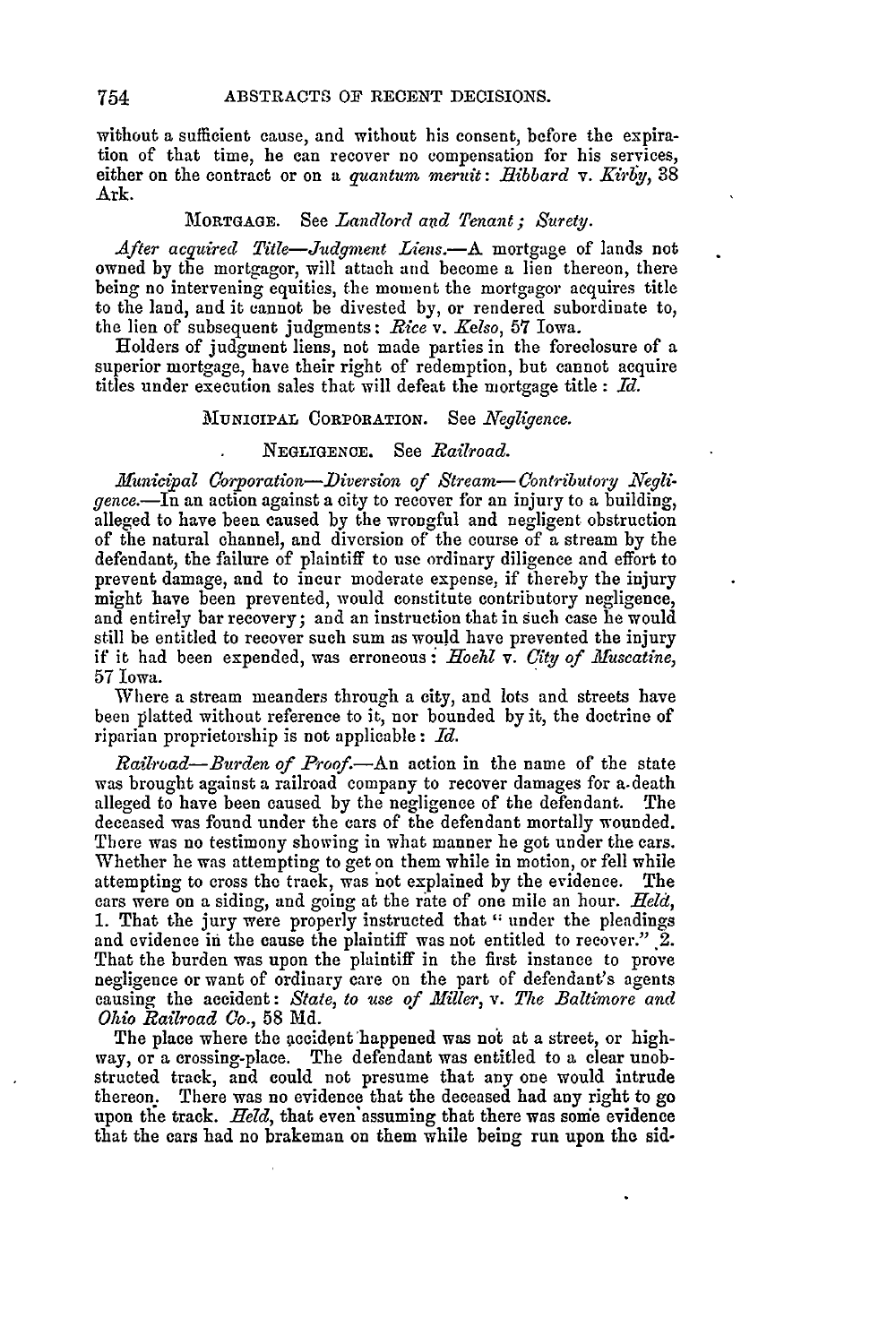without a sufficient cause, and without his consent, before the expiration of that time, he can recover no compensation for his services, either on the contract or on a *quantum meruit: Hibbard v. Kirby*, 38 Ark.

## MORTGAGE. See *Landlord and Tenant ; Surety.*

After acquired Title-Judgment Liens.-A mortgage of lands not owned **by** the mortgagor, will attach and become a lien thereon, there being no intervening equities, the moment the mortgagor acquires title to the land, and it cannot be divested by, or rendered subordinate to, the lien of subsequent judgments: *Rice v. Kelso,* **57** Iowa.

Holders of judgment liens, not made parties in the foreclosure of a superior mortgage, have their right of redemption, but cannot acquire titles under execution sales that will defeat the mortgage title : *Id.*

## MUNICIPAL CORPORATION. See *Negligence.*

### NEGLIGENCE. See *Railroad.*

*Municipal Corporation-Diversion of Stream-Contributory Negligence.-In* an action against a city to recover for an injury to a building, alleged to have been caused by the wrongful and negligent obstruction of the natural channel, and diversion of the course of a stream by the defendant, the failure of plaintiff to use ordinary diligence and effort to prevent damage, and to incur moderate expense, if thereby the injury might have been prevented, would constitute contributory negligence, and entirely bar recovery; and an instruction that in such case he would still be entitled to recover such sum as would have prevented the injury if it had been expended, was erroneous: Hoehl *v. City of fuscatine,* 57 Iowa.

Where a stream meanders through a city, and lots and streets have been platted without reference to it, nor bounded by it, the doctrine of riparian proprietorship is not applicable **:** fd.

*Railroad—Burden of Proof.*—An action in the name of the state was brought against a railroad company to recover damages for a.death alleged to have been caused by the negligence of the defendant. The deceased was found under the cars of the defendant mortally wounded. There was no testimony showing in what manner he got under the cars. Whether he was attempting to get on them while in motion, or fell while attempting to cross the track, was not explained by the evidence. The cars were on a siding, and going at the raite of one mile an hour. *Held,* 1. That the jury were properly instructed that " under the pleadings and evidence in the cause the plaintiff was not entitled to recover."  $2$ . That the burden was upon the plaintiff in the first instance to prove negligence or want of ordinary care on the part of defendant's agents causing the accident: *State, to use of Miller, v. The Baltimore and Ohio Railroad Co.,* 58 **Md.**

The place where the accident happened was not at a street, or highway, or a crossing-place. The defendant was entitled to a clear unobstructed track, and could not presume that any one would intrude thereon. There was no evidence that the deceased had any right to go upon the track. *Held*, that even assuming that there was some evidence that the cars had no brakeman on them while being run upon the sid-

754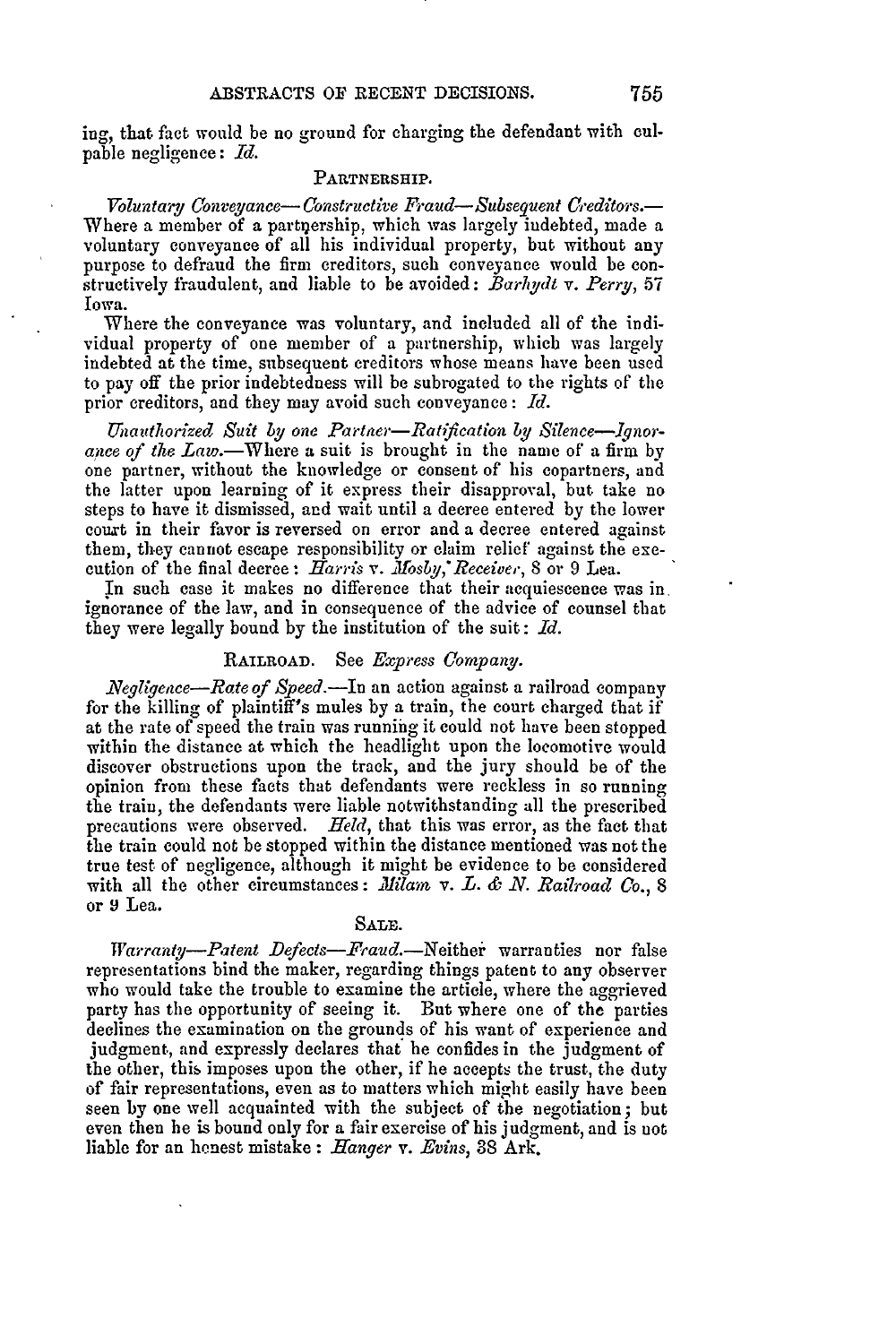ing, that fact would be no ground for charging the defendant with culpable negligence: *Id.*

### **PARTNERSHIP.**

*Voluntary Conveyance-Constructive Fraud-Subseguent Creditors.-* Where a member of a partnership, which was largely indebted, made a voluntary conveyance of all his individual property, but without any purpose to defraud the firm creditors, such conveyance would be constructively fraudulent, and liable to be avoided: *Barhydt v. Perry,* <sup>57</sup> Iowa.

Where the conveyance was voluntary, and included all of the individual property of one member of a partnership, which was largely indebted at the time, subsequent creditors whose means have been used to pay off the prior indebtedness will be subrogated to the rights of the prior creditors, and they may avoid such conveyance : *Id.*

*Unauthorized Suit by one Partner*—Ratification *by Silence—Ignor*ance of the Law.—Where a suit is brought in the name of a firm by one partner, without the knowledge or consent of his copartners, and the latter upon learning of it express their disapproval, but take no steps to have it dismissed, and wait until a decree entered by the lower court in their favor is reversed on error and a decree entered against them, they cannot escape responsibility or claim relief against the execution of the final decree: *Harris v. Mosby, Receiver*, 8 or 9 Lea.

In such case it makes no difference that their acquiescence was in, ignorance of the law, and in consequence of the advice of counsel that they were legally bound by the institution of the suit: *Id.*

# RAILROAD. See *Express Company.*

*.Negligence-Rate of Speed.-In* an action against a railroad company for the killing of plaintiff's mules by a train, the court charged that if at the rate of speed the train was running it could not have been stopped within the distance at which the headlight upon the locomotive would discover obstructions upon the track, and the jury should be of the opinion from these facts that defendants were reckless in so running the train, the defendants were liable notwithstanding all the prescribed precautions were observed. *Held,* that this was error, as the fact that the train could not be stopped within the distance mentioned was not the true test of negligence, although it might be evidence to be considered with all the other circumstances: *Milam v. L. & N. Railroad Co.*, 8 or **9** Lea.

## **SALE.**

*Warranty-Patent Defects-Fraud.-Neithei* warranties nor false representations bind the maker, regarding things patent to any observer who would take the trouble to examine the article, where the aggrieved party has the opportunity of seeing it. But where one of the parties declines the examination on the grounds of his want of experience and judgment, and expressly declares that he confides in the judgment of the other, this imposes upon the other, if he accepts the trust, the duty of fair representations, even as to matters which might easily have been seen by one well acquainted with the subject of the negotiation; but even then he is bound only for a fair exercise of his judgment, and is not liable for an henest mistake: *Hanger v. Evins,* 88 Ark.